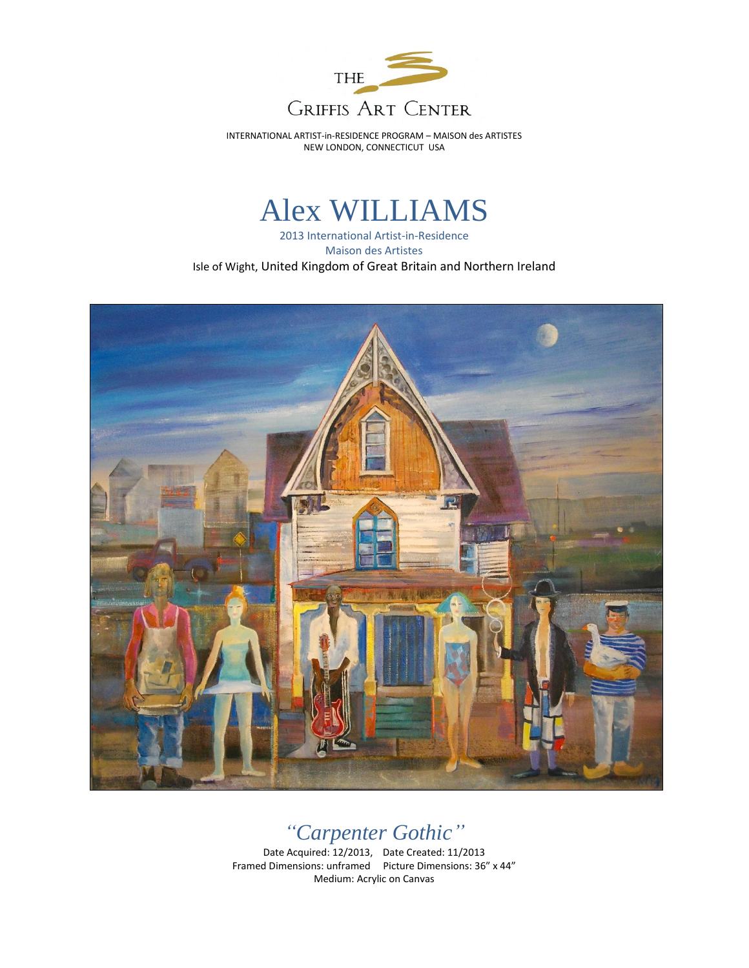

INTERNATIONAL ARTIST-in-RESIDENCE PROGRAM – MAISON des ARTISTES NEW LONDON, CONNECTICUT USA

## Alex WILLIAMS

2013 International Artist-in-Residence Maison des Artistes Isle of Wight, United Kingdom of Great Britain and Northern Ireland



## *"Carpenter Gothic"*

Date Acquired: 12/2013, Date Created: 11/2013 Framed Dimensions: unframed Picture Dimensions: 36" x 44" Medium: Acrylic on Canvas